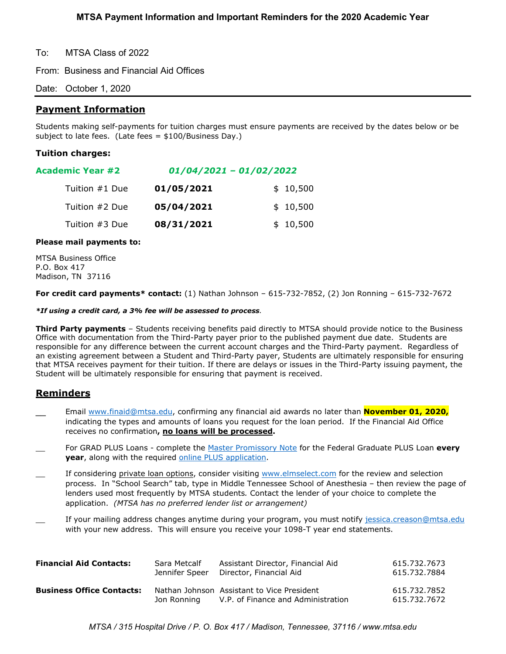To: MTSA Class of 2022

From: Business and Financial Aid Offices

Date: October 1, 2020

# **Payment Information**

Students making self-payments for tuition charges must ensure payments are received by the dates below or be subject to late fees. (Late fees = \$100/Business Day.)

### **Tuition charges:**

| $01/04/2021 - 01/02/2022$ |          |  |
|---------------------------|----------|--|
| 01/05/2021                | \$10,500 |  |
| 05/04/2021                | \$10,500 |  |
|                           |          |  |

Tuition #3 Due **08/31/2021** \$ 10.500

#### **Please mail payments to:**

MTSA Business Office P.O. Box 417 Madison, TN 37116

**For credit card payments\* contact:** (1) Nathan Johnson – 615-732-7852, (2) Jon Ronning – 615-732-7672

#### *\*If using a credit card, a 3% fee will be assessed to process.*

**Third Party payments** – Students receiving benefits paid directly to MTSA should provide notice to the Business Office with documentation from the Third-Party payer prior to the published payment due date. Students are responsible for any difference between the current account charges and the Third-Party payment. Regardless of an existing agreement between a Student and Third-Party payer, Students are ultimately responsible for ensuring that MTSA receives payment for their tuition. If there are delays or issues in the Third-Party issuing payment, the Student will be ultimately responsible for ensuring that payment is received.

# **Reminders**

- Email [www.finaid@mtsa.edu,](http://www.finaid@mtsa.edu) confirming any financial aid awards no later than **November 01, 2020,** indicating the types and amounts of loans you request for the loan period. If the Financial Aid Office receives no confirmation**, no loans will be processed.**
- \_\_ For GRAD PLUS Loans complete the [Master Promissory Note](https://studentaid.gov/mpn/grad/landing) for the Federal Graduate PLUS Loan **every year**, along with the required [online PLUS application.](https://studentaid.gov/app/launchPLUS.action?plusType=gradPlus)
- If considering private loan options, consider visiting [www.elmselect.com](http://www.elmselect.com/) for the review and selection process. In "School Search" tab, type in Middle Tennessee School of Anesthesia – then review the page of lenders used most frequently by MTSA students*.* Contact the lender of your choice to complete the application. *(MTSA has no preferred lender list or arrangement)*
- If your mailing address changes anytime during your program, you must notify [jessica.creason@mtsa.edu](mailto:jessica.creason@mtsa.edu) with your new address. This will ensure you receive your 1098-T year end statements.

| <b>Financial Aid Contacts:</b>   | Sara Metcalf   | Assistant Director, Financial Aid                                                            | 615.732.7673                 |
|----------------------------------|----------------|----------------------------------------------------------------------------------------------|------------------------------|
|                                  | Jennifer Speer | Director, Financial Aid                                                                      | 615.732.7884                 |
| <b>Business Office Contacts:</b> |                | Nathan Johnson Assistant to Vice President<br>Jon Ronning V.P. of Finance and Administration | 615.732.7852<br>615.732.7672 |